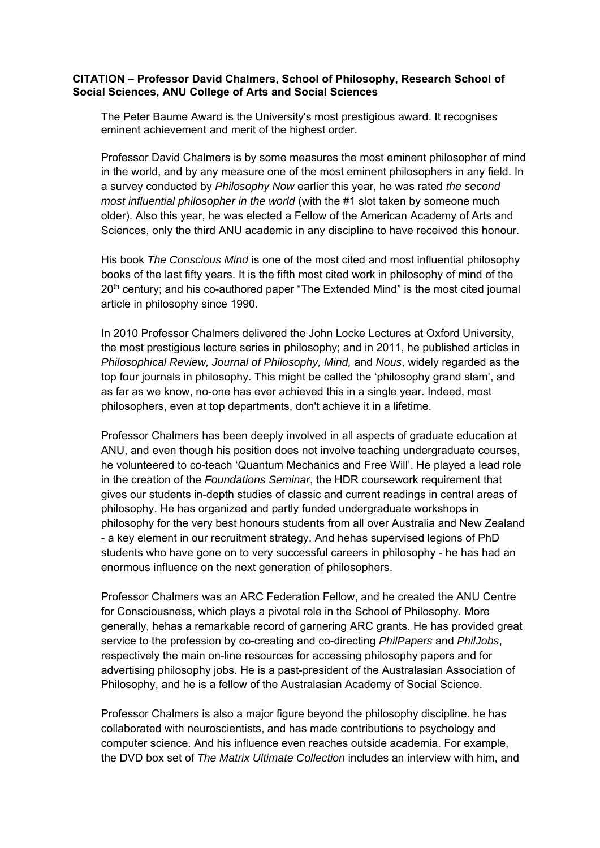## **CITATION – Professor David Chalmers, School of Philosophy, Research School of Social Sciences, ANU College of Arts and Social Sciences**

The Peter Baume Award is the University's most prestigious award. It recognises eminent achievement and merit of the highest order.

Professor David Chalmers is by some measures the most eminent philosopher of mind in the world, and by any measure one of the most eminent philosophers in any field. In a survey conducted by *Philosophy Now* earlier this year, he was rated *the second most influential philosopher in the world* (with the #1 slot taken by someone much older). Also this year, he was elected a Fellow of the American Academy of Arts and Sciences, only the third ANU academic in any discipline to have received this honour.

His book *The Conscious Mind* is one of the most cited and most influential philosophy books of the last fifty years. It is the fifth most cited work in philosophy of mind of the 20<sup>th</sup> century; and his co-authored paper "The Extended Mind" is the most cited journal article in philosophy since 1990.

In 2010 Professor Chalmers delivered the John Locke Lectures at Oxford University, the most prestigious lecture series in philosophy; and in 2011, he published articles in *Philosophical Review, Journal of Philosophy, Mind,* and *Nous*, widely regarded as the top four journals in philosophy. This might be called the 'philosophy grand slam', and as far as we know, no-one has ever achieved this in a single year. Indeed, most philosophers, even at top departments, don't achieve it in a lifetime.

Professor Chalmers has been deeply involved in all aspects of graduate education at ANU, and even though his position does not involve teaching undergraduate courses, he volunteered to co-teach 'Quantum Mechanics and Free Will'. He played a lead role in the creation of the *Foundations Seminar*, the HDR coursework requirement that gives our students in-depth studies of classic and current readings in central areas of philosophy. He has organized and partly funded undergraduate workshops in philosophy for the very best honours students from all over Australia and New Zealand - a key element in our recruitment strategy. And hehas supervised legions of PhD students who have gone on to very successful careers in philosophy - he has had an enormous influence on the next generation of philosophers.

Professor Chalmers was an ARC Federation Fellow, and he created the ANU Centre for Consciousness, which plays a pivotal role in the School of Philosophy. More generally, hehas a remarkable record of garnering ARC grants. He has provided great service to the profession by co-creating and co-directing *PhilPapers* and *PhilJobs*, respectively the main on-line resources for accessing philosophy papers and for advertising philosophy jobs. He is a past-president of the Australasian Association of Philosophy, and he is a fellow of the Australasian Academy of Social Science.

Professor Chalmers is also a major figure beyond the philosophy discipline. he has collaborated with neuroscientists, and has made contributions to psychology and computer science. And his influence even reaches outside academia. For example, the DVD box set of *The Matrix Ultimate Collection* includes an interview with him, and